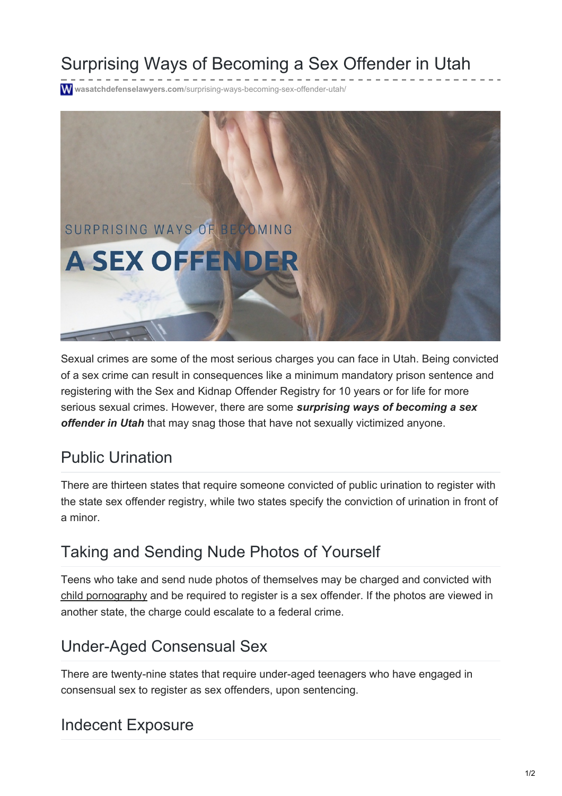# Surprising Ways of Becoming a Sex Offender in Utah

**wasatchdefenselawyers.com**[/surprising-ways-becoming-sex-offender-utah/](https://wasatchdefenselawyers.com/surprising-ways-becoming-sex-offender-utah/)



Sexual crimes are some of the most serious charges you can face in Utah. Being convicted of a sex crime can result in consequences like a minimum mandatory prison sentence and registering with the Sex and Kidnap Offender Registry for 10 years or for life for more serious sexual crimes. However, there are some *surprising ways of becoming a sex offender in Utah* that may snag those that have not sexually victimized anyone.

### Public Urination

There are thirteen states that require someone convicted of public urination to register with the state sex offender registry, while two states specify the conviction of urination in front of a minor.

# Taking and Sending Nude Photos of Yourself

Teens who take and send nude photos of themselves may be charged and convicted with child [pornography](https://wasatchdefenselawyers.com/practice/child-pornography-defense-lawyer-utah/) and be required to register is a sex offender. If the photos are viewed in another state, the charge could escalate to a federal crime.

### Under-Aged Consensual Sex

There are twenty-nine states that require under-aged teenagers who have engaged in consensual sex to register as sex offenders, upon sentencing.

# Indecent Exposure